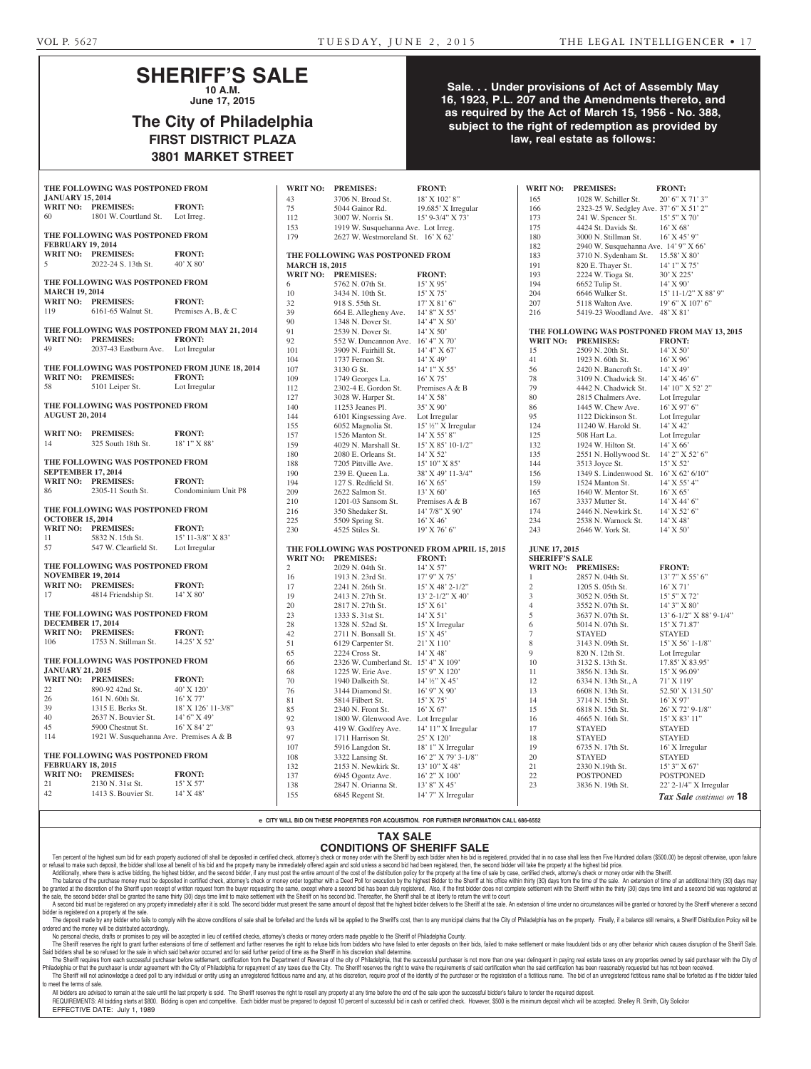### **SHERIFF'S SALE 10 A.M.**

**June 17, 2015**

# **The City of Philadelphia FIRST DISTRICT PLAZA 3801 MARKET STREET**

### **Sale. . . Under provisions of Act of Assembly May 16, 1923, P.L. 207 and the Amendments thereto, and as required by the Act of March 15, 1956 - No. 388, subject to the right of redemption as provided by law, real estate as follows:**

|                                  | THE FOLLOWING WAS POSTPONED FROM        |                                                | <b>WRIT NO:</b>       | <b>PREMISES:</b>                       | <b>FRONT:</b>                                   | <b>WRIT NO:</b>                               | <b>PREMISES:</b>                        | <b>FRONT:</b>             |  |
|----------------------------------|-----------------------------------------|------------------------------------------------|-----------------------|----------------------------------------|-------------------------------------------------|-----------------------------------------------|-----------------------------------------|---------------------------|--|
| <b>JANUARY 15, 2014</b>          |                                         |                                                |                       |                                        |                                                 |                                               |                                         |                           |  |
|                                  | WRIT NO: PREMISES:                      | <b>FRONT:</b>                                  | 43                    | 3706 N. Broad St.                      | 18' X 102' 8"                                   | 165                                           | 1028 W. Schiller St.                    | 20' 6" X 71' 3"           |  |
| 60                               | 1801 W. Courtland St.                   | Lot Irreg.                                     | 75                    | 5044 Gainor Rd.                        | 19.685' X Irregular                             | 166                                           | 2323-25 W. Sedgley Ave. 37' 6" X 51' 2" |                           |  |
|                                  |                                         |                                                | 112                   | 3007 W. Norris St.                     | 15' 9-3/4" X 73'                                | 173                                           | 241 W. Spencer St.                      | $15'$ 5" X 70"            |  |
|                                  | THE FOLLOWING WAS POSTPONED FROM        |                                                | 153                   | 1919 W. Susquehanna Ave. Lot Irreg.    |                                                 | 175                                           | 4424 St. Davids St.                     | 16' X 68'                 |  |
| <b>FEBRUARY 19, 2014</b>         |                                         |                                                | 179                   | 2627 W. Westmoreland St. 16' X 62'     |                                                 | 180                                           | 3000 N. Stillman St.                    | $16'$ X 45' 9"            |  |
|                                  | WRIT NO: PREMISES:                      | <b>FRONT:</b>                                  |                       |                                        |                                                 | 182                                           | 2940 W. Susquehanna Ave. 14' 9" X 66'   |                           |  |
| 5                                | 2022-24 S. 13th St.                     | $40'$ X $80'$                                  |                       | THE FOLLOWING WAS POSTPONED FROM       |                                                 | 183<br>191                                    | 3710 N. Sydenham St.                    | 15.58' X 80'              |  |
|                                  |                                         |                                                | <b>MARCH 18, 2015</b> |                                        |                                                 |                                               | 820 E. Thayer St.                       | $14'1''$ X 75'            |  |
|                                  | THE FOLLOWING WAS POSTPONED FROM        |                                                | 6                     | WRIT NO: PREMISES:<br>5762 N. 07th St. | <b>FRONT:</b><br>$15'$ X 95'                    | 193<br>194                                    | 2224 W. Tioga St.<br>6652 Tulip St.     | $30'$ X 225'<br>14' X 90' |  |
| <b>MARCH 19, 2014</b>            |                                         |                                                | 10                    | 3434 N. 10th St.                       | $15'$ X 75'                                     | 204                                           | 6646 Walker St.                         | 15' 11-1/2" X 88' 9"      |  |
|                                  | WRIT NO: PREMISES:                      | <b>FRONT:</b>                                  | 32                    | 918 S. 55th St.                        | $17'$ X 81' 6"                                  | 207                                           | 5118 Walton Ave.                        | 19' 6" X 107' 6"          |  |
| 119                              | 6161-65 Walnut St.                      | Premises A, B, & C                             | 39                    | 664 E. Allegheny Ave.                  | 14' 8" X 55'                                    | 216                                           | 5419-23 Woodland Ave. 48' X 81'         |                           |  |
|                                  |                                         |                                                | 90                    | 1348 N. Dover St.                      | 14' 4'' X 50'                                   |                                               |                                         |                           |  |
|                                  |                                         | THE FOLLOWING WAS POSTPONED FROM MAY 21, 2014  | 91                    | 2539 N. Dover St.                      | $14'$ X 50'                                     | THE FOLLOWING WAS POSTPONED FROM MAY 13, 2015 |                                         |                           |  |
|                                  | WRIT NO: PREMISES:                      | <b>FRONT:</b>                                  | 92                    | 552 W. Duncannon Ave. 16' 4" X 70'     |                                                 | <b>WRIT NO:</b>                               | <b>PREMISES:</b>                        | <b>FRONT:</b>             |  |
| 49                               | 2037-43 Eastburn Ave. Lot Irregular     |                                                | 101                   | 3909 N. Fairhill St.                   | 14' 4'' X 67'                                   | 15                                            | 2509 N. 20th St.                        | $14'$ X 50'               |  |
|                                  |                                         |                                                | 104                   | 1737 Fernon St.                        | 14' X 49'                                       | 41                                            | 1923 N. 60th St.                        | $16'$ X 96'               |  |
|                                  |                                         | THE FOLLOWING WAS POSTPONED FROM JUNE 18, 2014 | 107                   | 3130 G St.                             | $14'1''$ X 55'                                  | 56                                            | 2420 N. Bancroft St.                    | 14' X 49'                 |  |
|                                  | WRIT NO: PREMISES:                      | <b>FRONT:</b>                                  | 109                   | 1749 Georges La.                       | $16'$ X 75'                                     | 78                                            | 3109 N. Chadwick St.                    | $14'$ X 46' 6"            |  |
| 58                               | 5101 Leiper St.                         | Lot Irregular                                  | 112                   | 2302-4 E. Gordon St.                   | Premises A & B                                  | 79                                            | 4442 N. Chadwick St.                    | 14' 10" X 52' 2"          |  |
|                                  |                                         |                                                | 127                   | 3028 W. Harper St.                     | $14'$ X 58'                                     | 80                                            | 2815 Chalmers Ave.                      | Lot Irregular             |  |
|                                  | THE FOLLOWING WAS POSTPONED FROM        |                                                | 140                   | 11253 Jeanes Pl.                       | 35' X 90'                                       | 86                                            | 1445 W. Chew Ave.                       | 16' X 97' 6"              |  |
| <b>AUGUST 20, 2014</b>           |                                         |                                                | 144                   | 6101 Kingsessing Ave.                  | Lot Irregular                                   | 95                                            | 1122 Dickinson St.                      | Lot Irregular             |  |
|                                  |                                         |                                                | 155                   | 6052 Magnolia St.                      | 15' 1/2" X Irregular                            | 124                                           | 11240 W. Harold St.                     | 14' X 42'                 |  |
|                                  | <b>WRIT NO: PREMISES:</b>               | <b>FRONT:</b>                                  | 157                   | 1526 Manton St.                        | 14' X 55' 8"                                    | 125                                           | 508 Hart La.                            | Lot Irregular             |  |
| 14                               | 325 South 18th St.                      | 18' 1" X 88'                                   | 159                   | 4029 N. Marshall St.                   | 15' X 85' 10-1/2"                               | 132                                           | 1924 W. Hilton St.                      | $14'$ X 66'               |  |
|                                  |                                         |                                                | 180                   | 2080 E. Orleans St.                    | 14' X 52'                                       | 135                                           | 2551 N. Hollywood St.                   | 14' 2" X 52' 6"           |  |
|                                  | THE FOLLOWING WAS POSTPONED FROM        |                                                | 188                   | 7205 Pittville Ave.                    | 15' 10" X 85'                                   | 144                                           | 3513 Joyce St.                          | 15' X 52'                 |  |
| <b>SEPTEMBER 17, 2014</b>        |                                         |                                                | 190                   | 239 E. Queen La.                       | 38' X 49' 11-3/4"                               | 156                                           | 1349 S. Lindenwood St. 16' X 62' 6/10"  |                           |  |
|                                  | <b>WRIT NO: PREMISES:</b>               | <b>FRONT:</b>                                  | 194                   | 127 S. Redfield St.                    | $16'$ X 65'                                     | 159                                           | 1524 Manton St.                         | $14'$ X 55' 4"            |  |
| 86                               | 2305-11 South St.                       | Condominium Unit P8                            | 209                   | 2622 Salmon St.                        | $13'$ X 60'                                     | 165                                           | 1640 W. Mentor St.                      | $16'$ X 65'               |  |
|                                  |                                         |                                                | 210                   | 1201-03 Sansom St.                     | Premises A & B                                  | 167                                           | 3337 Mutter St.                         | $14'$ X 44' 6"            |  |
|                                  | THE FOLLOWING WAS POSTPONED FROM        |                                                | 216                   | 350 Shedaker St.                       | 14' 7/8" X 90'                                  | 174                                           | 2446 N. Newkirk St.                     | 14' X 52' 6"              |  |
| <b>OCTOBER 15, 2014</b>          |                                         |                                                | 225                   | 5509 Spring St.                        | $16'$ X 46'                                     | 234                                           | 2538 N. Warnock St.                     | $14'$ X 48'               |  |
|                                  | WRIT NO: PREMISES:                      | <b>FRONT:</b>                                  | 230                   | 4525 Stiles St.                        | $19'$ X 76' 6"                                  | 243                                           | 2646 W. York St.                        | $14'$ X 50'               |  |
| 11                               | 5832 N. 15th St.                        | 15' 11-3/8" X 83'                              |                       |                                        |                                                 |                                               |                                         |                           |  |
| 57                               | 547 W. Clearfield St.                   | Lot Irregular                                  |                       |                                        | THE FOLLOWING WAS POSTPONED FROM APRIL 15, 2015 | <b>JUNE 17, 2015</b>                          |                                         |                           |  |
|                                  |                                         |                                                |                       | WRIT NO: PREMISES:                     | <b>FRONT:</b>                                   | <b>SHERIFF'S SALE</b>                         |                                         |                           |  |
|                                  | THE FOLLOWING WAS POSTPONED FROM        |                                                | $\overline{2}$        | 2029 N. 04th St.                       | $14'$ X 57'                                     |                                               | <b>WRIT NO: PREMISES:</b>               | <b>FRONT:</b>             |  |
| <b>NOVEMBER 19, 2014</b>         |                                         |                                                | 16                    | 1913 N. 23rd St.                       | $17'$ 9" X 75'                                  | $\overline{1}$                                | 2857 N. 04th St.                        | $13'$ 7" X 55' 6"         |  |
|                                  | WRIT NO: PREMISES:                      | <b>FRONT:</b>                                  | 17                    | 2241 N. 26th St.                       | $15'$ X 48' 2-1/2"                              | 2                                             | 1205 S. 05th St.                        | $16'$ X 71'               |  |
| 17                               | 4814 Friendship St.                     | $14'$ X 80'                                    | 19                    | 2413 N. 27th St.                       | $13'$ 2-1/2" X 40"                              | 3                                             | 3052 N. 05th St.                        | $15'5''$ X 72'            |  |
|                                  |                                         |                                                | 20                    | 2817 N. 27th St.                       | $15'$ X 61'                                     | $\overline{4}$                                | 3552 N. 07th St.                        | 14' 3" X 80'              |  |
|                                  | THE FOLLOWING WAS POSTPONED FROM        |                                                | 23                    | 1333 S. 31st St.                       | $14'$ X 51'                                     | $\overline{5}$                                | 3637 N. 07th St.                        | 13' 6-1/2" X 88' 9-1/4"   |  |
| <b>DECEMBER 17, 2014</b>         |                                         |                                                | 28                    | 1328 N. 52nd St.                       | 15' X Irregular                                 | 6                                             | 5014 N. 07th St.                        | 15' X 71.87'              |  |
|                                  | WRIT NO: PREMISES:                      | <b>FRONT:</b>                                  | 42                    | 2711 N. Bonsall St.                    | 15' X 45'                                       | $\tau$                                        | <b>STAYED</b>                           | <b>STAYED</b>             |  |
| 106                              | 1753 N. Stillman St.                    | 14.25' X 52'                                   | 51                    | 6129 Carpenter St.                     | 21' X 110'                                      | 8                                             | 3143 N. 09th St.                        | $15'$ X 56' 1-1/8"        |  |
|                                  |                                         |                                                | 65                    | 2224 Cross St.                         | 14' X 48'                                       | 9                                             | 820 N. 12th St.                         | Lot Irregular             |  |
| THE FOLLOWING WAS POSTPONED FROM |                                         |                                                | 66                    | 2326 W. Cumberland St. 15' 4" X 109'   |                                                 | 10                                            | 3132 S. 13th St.                        | 17.85' X 83.95'           |  |
| <b>JANUARY 21, 2015</b>          |                                         |                                                | 68                    | 1225 W. Erie Ave.                      | 15' 9" X 120'                                   | 11                                            | 3856 N. 13th St.                        | $15'$ X 96.09'            |  |
|                                  | WRIT NO: PREMISES:                      | <b>FRONT:</b>                                  | 70                    | 1940 Dalkeith St.                      | $14'$ ½" X 45'                                  | 12                                            | 6334 N. 13th St., A                     | 71' X 119'                |  |
| 22                               | 890-92 42nd St.                         | 40' X 120'                                     | 76                    | 3144 Diamond St.                       | $16'$ 9" X 90'                                  | 13                                            | 6608 N. 13th St.                        | 52.50' X 131.50'          |  |
| 26                               | 161 N. 60th St.                         | 16' X 77'                                      | 81                    | 5814 Filbert St.                       | $15'$ X 75'                                     | 14                                            | 3714 N. 15th St.                        | $16'$ X 97'               |  |
| 39                               | 1315 E. Berks St.                       | 18' X 126' 11-3/8"                             | 85                    | 2340 N. Front St.                      | $16'$ X 67'                                     | 15                                            | 6818 N. 15th St.                        | 26' X 72' 9-1/8"          |  |
| 40                               | 2637 N. Bouvier St.                     | $14'6''$ X 49'                                 | 92                    | 1800 W. Glenwood Ave. Lot Irregular    |                                                 | 16                                            | 4665 N. 16th St.                        | 15' X 83' 11"             |  |
| 45                               | 5900 Chestnut St.                       | 16' X 84' 2"                                   | 93                    | 419 W. Godfrey Ave.                    | 14' 11" X Irregular                             | 17                                            | <b>STAYED</b>                           | <b>STAYED</b>             |  |
| 114                              | 1921 W. Susquehanna Ave. Premises A & B |                                                | 97                    | 1711 Harrison St.                      | 25' X 120'                                      | 18                                            | <b>STAYED</b>                           | <b>STAYED</b>             |  |
|                                  |                                         |                                                | 107                   | 5916 Langdon St.                       | 18' 1" X Irregular                              | 19                                            | 6735 N. 17th St.                        | 16' X Irregular           |  |
| THE FOLLOWING WAS POSTPONED FROM |                                         |                                                | 108                   | 3322 Lansing St.                       | 16' 2" X 79' 3-1/8"                             | 20                                            | <b>STAYED</b>                           | <b>STAYED</b>             |  |
| <b>FEBRUARY 18, 2015</b>         |                                         |                                                | 132                   | 2153 N. Newkirk St.                    | 13' 10" X 48'                                   | 21                                            | 2330 N.19th St.                         | 15' 3" X 67'              |  |
|                                  | WRIT NO: PREMISES:                      | <b>FRONT:</b>                                  | 137                   | 6945 Ogontz Ave.                       | 16' 2" X 100'                                   | 22                                            | <b>POSTPONED</b>                        | <b>POSTPONED</b>          |  |
| 21                               | 2130 N. 31st St.                        | $15'$ X 57'                                    | 138                   | 2847 N. Orianna St.                    | 13' 8" X 45'                                    | 23                                            | 3836 N. 19th St.                        | 22' 2-1/4" X Irregular    |  |
| 42                               | 1413 S. Bouvier St.                     | $14'$ X 48'                                    | 155                   | 6845 Regent St.                        | $14'$ 7" X Irregular                            |                                               |                                         | Tax Sale continues on 18  |  |
|                                  |                                         |                                                |                       |                                        |                                                 |                                               |                                         |                           |  |

**e CITY WILL BID ON THESE PROPERTIES FOR ACQUISITION. FOR FURTHER INFORMATION CALL 686-6552**

#### **TAX SALE**

### **CONDITIONS OF SHERIFF SALE**

Ten percent of the highest sum bid for each property auctioned off shall be deposited in certified check, attorney's check or money order with the Sheriff by each bidder when his bid is registered, provided that in no case or refusal to make such deposit, the bidder shall lose all benefit of his bid and the property many be immediately offered again and sold unless a second bid had been registered, then, the second bidder will take the prope Additionally, where there is active bidding, the highest bidder, and the second bidder, if any must post the entire amount of the cost of the distribution policy for the property at the time of sale by case, certified chec

The balance of the purchase money must be deposited in certified check, attorney's check or money order together with a Deed Poll for execution by the highest Bidder to the Sheriff at his office within thirty (30) days fro rranted at the discretion of the Sheriff upon receipt of written request from the buver requesting the same, except where a second bid has been duly registered. Also, if the first bidder does not complete settlement with t the sale, the second bidder shall be granted the same thirty (30) days time limit to make settlement with the Sheriff on his second bid. Thereafter, the Sheriff shall be at liberty to return the writ to court

A second bid must be registered on any property immediately after it is sold. The second bidder must present the same amount of deposit that the highest bidder delivers to the Sheriff at the sale. An extension of time unde bidder is registered on a property at the sale.

The deposit made by any bidder who fails to comply with the above conditions of sale shall be forfeited and the funds will be applied to the Sheriff's cost, then to any municipal claims that the City of Philadelphia has on ordered and the money will be distributed accordingly. No personal checks, drafts or promises to pay will be accepted in lieu of certified checks, attorney's checks or money orders made payable to the Sheriff of Philadelphia County.

The Sheriff reserves the right to grant further extensions of time of settlement and further reserves the right to refuse bids from bidders who have failed to enter deposits on their bids, failed to make settlement or make Said bidders shall be so refused for the sale in which said behavior occurred and for said further period of time as the Sheriff in his discretion shall determine.

The Sheriff requires from each successful purchaser before settlement, certification from the Department of Revenue of the city of Philadelphia, that the successful purchaser is not more than one year delinquent in paying Philadelphia or that the purchaser is under agreement with the City of Philadelphia for repayment of any taxes due the City. The Sheriff reserves the right to waive the requirements of said certification when the said cert The Sheriff will not acknowledge a deed poll to any individual or entity using an unregistered fictitious name and any, at his discretion, require proof of the identity of the purchaser or the registration of a fictitious to meet the terms of sale.

All bidders are advised to remain at the sale until the last property is sold. The Sheriff reserves the right to resell any property at any time before the end of the sale upon the successful bidder's failure to tender the REQUIREMENTS: All bidding starts at \$800. Bidding is open and competitive. Each bidder must be prepared to deposit 10 percent of successful bid in cash or certified check. However, \$500 is the minimum deposit which will be EFFECTIVE DATE: July 1, 1989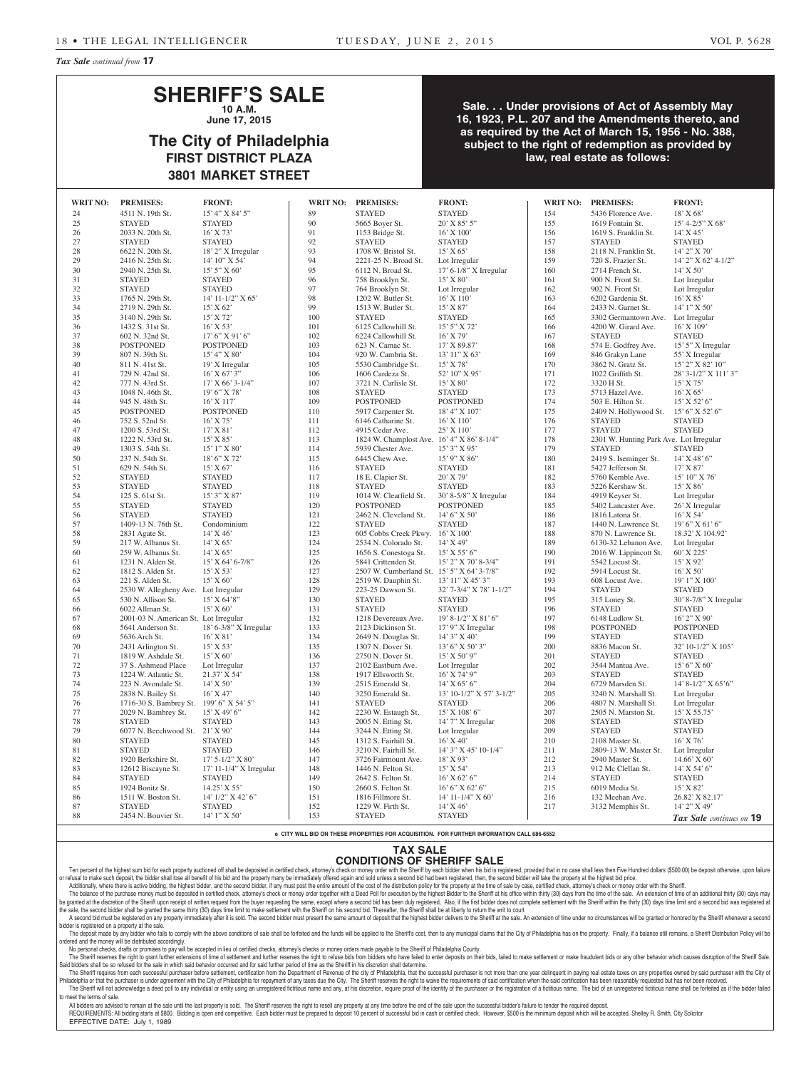*Tax Sale continued from* **17**

# **SHERIFF'S SALE**

**10 A.M. June 17, 2015**

# **The City of Philadelphia FIRST DISTRICT PLAZA 3801 MARKET STREET**

**Sale. . . Under provisions of Act of Assembly May 16, 1923, P.L. 207 and the Amendments thereto, and as required by the Act of March 15, 1956 - No. 388, subject to the right of redemption as provided by law, real estate as follows:**

| <b>WRIT NO:</b> | <b>PREMISES:</b>                        | <b>FRONT:</b>            | <b>WRIT NO:</b> | <b>PREMISES:</b>                           | <b>FRONT:</b>            | <b>WRIT NO:</b> | <b>PREMISES:</b>                        | <b>FRONT:</b>             |
|-----------------|-----------------------------------------|--------------------------|-----------------|--------------------------------------------|--------------------------|-----------------|-----------------------------------------|---------------------------|
| 24              | 4511 N. 19th St.                        | 15' 4" X 84' 5"          | 89              | <b>STAYED</b>                              | <b>STAYED</b>            | 154             | 5436 Florence Ave.                      | 18' X 68'                 |
| 25              | <b>STAYED</b>                           | <b>STAYED</b>            | 90              | 5665 Boyer St.                             | 20' X 85' 5"             | 155             | 1619 Fontain St.                        | $15' 4 - 2/5'' X 68'$     |
| 26              | 2033 N. 20th St.                        | $16'$ X 73'              | 91              | 1153 Bridge St.                            | 16' X 100'               | 156             | 1619 S. Franklin St.                    | $14'$ X $45'$             |
| 27              | <b>STAYED</b>                           | <b>STAYED</b>            | 92              | <b>STAYED</b>                              | <b>STAYED</b>            | 157             | <b>STAYED</b>                           | <b>STAYED</b>             |
|                 |                                         |                          |                 |                                            |                          |                 |                                         |                           |
| 28              | 6622 N. 20th St.                        | 18' 2" X Irregular       | 93              | 1708 W. Bristol St.                        | 15' X 65'                | 158             | 2118 N. Franklin St.                    | 14' 2" X 70'              |
| 29              | 2416 N. 25th St.                        | 14' 10" X 54'            | 94              | 2221-25 N. Broad St.                       | Lot Irregular            | 159             | 720 S. Frazier St.                      | 14' 2" X 62' 4-1/2"       |
| 30              | 2940 N. 25th St.                        | $15'5''$ X 60'           | 95              | 6112 N. Broad St.                          | 17' 6-1/8" X Irregular   | 160             | 2714 French St.                         | $14'$ X 50'               |
| 31              | <b>STAYED</b>                           | <b>STAYED</b>            | 96              | 758 Brooklyn St.                           | $15'$ X 80'              | 161             | 900 N. Front St.                        | Lot Irregular             |
| 32              | <b>STAYED</b>                           | <b>STAYED</b>            | 97              | 764 Brooklyn St.                           | Lot Irregular            | 162             | 902 N. Front St.                        | Lot Irregular             |
| 33              | 1765 N. 29th St.                        | $14' 11 - 1/2''$ X 65'   | 98              | 1202 W. Butler St.                         | 16' X 110'               | 163             | 6202 Gardenia St.                       | 16' X 85'                 |
| 34              | 2719 N. 29th St.                        | $15'$ X 62'              | 99              | 1513 W. Butler St.                         | 15' X 87'                | 164             | 2433 N. Garnet St.                      | 14' 1" X 50'              |
| 35              | 3140 N. 29th St.                        | 15' X 72'                | 100             | <b>STAYED</b>                              | <b>STAYED</b>            | 165             | 3302 Germantown Ave. Lot Irregular      |                           |
| 36              | 1432 S. 31st St.                        | $16'$ X 53'              | 101             | 6125 Callowhill St.                        | 15' 5" X 72'             | 166             | 4200 W. Girard Ave.                     | $16'$ X $109'$            |
|                 |                                         |                          | 102             |                                            |                          |                 | <b>STAYED</b>                           | <b>STAYED</b>             |
| 37              | 602 N. 32nd St.                         | 17' 6'' X 91' 6''        |                 | 6224 Callowhill St.                        | $16'$ X 79'              | 167             |                                         |                           |
| 38              | <b>POSTPONED</b>                        | <b>POSTPONED</b>         | 103             | 623 N. Camac St.                           | 17' X 89.87'             | 168             | 574 E. Godfrey Ave.                     | 15' 5" X Irregular        |
| 39              | 807 N. 39th St.                         | 15' 4'' X 80'            | 104             | 920 W. Cambria St.                         | 13' 11'' X 63'           | 169             | 846 Grakyn Lane                         | 55' X Irregular           |
| $40\,$          | 811 N. 41st St.                         | 19' X Irregular          | 105             | 5530 Cambridge St.                         | $15'$ X 78'              | 170             | 3862 N. Gratz St.                       | 15' 2" X 82' 10"          |
| 41              | 729 N. 42nd St.                         | $16'$ X 67' 3"           | 106             | 1606 Cardeza St.                           | 52' 10" X 95'            | 171             | 1022 Griffith St.                       | 28' 3-1/2" X 111' 3"      |
| 42              | 777 N. 43rd St.                         | $17'$ X 66' 3-1/4"       | 107             | 3721 N. Carlisle St.                       | 15' X 80'                | 172             | 3320 H St.                              | $15'$ X 75'               |
| 43              | 1048 N. 46th St.                        | 19' 6" X 78'             | 108             | <b>STAYED</b>                              | <b>STAYED</b>            | 173             | 5713 Hazel Ave.                         | $16'$ X 65'               |
| 44              | 945 N. 48th St.                         | 16' X 117'               | 109             | <b>POSTPONED</b>                           | <b>POSTPONED</b>         | 174             | 503 E. Hilton St.                       | $15'$ X 52' 6"            |
| 45              | <b>POSTPONED</b>                        | <b>POSTPONED</b>         | 110             | 5917 Carpenter St.                         | 18' 4" X 107'            | 175             | 2409 N. Hollywood St. 15' 6" X 52' 6"   |                           |
| 46              | 752 S. 52nd St.                         | $16'$ X 75'              | 111             | 6146 Catharine St.                         | 16' X 110'               | 176             | <b>STAYED</b>                           | <b>STAYED</b>             |
| 47              |                                         | 17' X 81'                | 112             | 4915 Cedar Ave.                            | 25' X 110'               | 177             | <b>STAYED</b>                           | <b>STAYED</b>             |
|                 | 1200 S. 53rd St.                        |                          |                 |                                            |                          |                 |                                         |                           |
| 48              | 1222 N. 53rd St.                        | $15'$ X 85'              | 113             | 1824 W. Champlost Ave. 16' 4" X 86' 8-1/4" |                          | 178             | 2301 W. Hunting Park Ave. Lot Irregular |                           |
| 49              | 1303 S. 54th St.                        | $15'1''$ X 80'           | 114             | 5939 Chester Ave.                          | $15'3''$ X 95'           | 179             | <b>STAYED</b>                           | <b>STAYED</b>             |
| 50              | 237 N. 54th St.                         | 18' 6" X 72'             | 115             | 6445 Chew Ave.                             | 15' 9" X 86"             | 180             | 2419 S. Iseminger St.                   | 14' X 48' 6"              |
| 51              | 629 N. 54th St.                         | 15' X 67'                | 116             | <b>STAYED</b>                              | <b>STAYED</b>            | 181             | 5427 Jefferson St.                      | 17' X 87'                 |
| 52              | <b>STAYED</b>                           | <b>STAYED</b>            | 117             | 18 E. Clapier St.                          | 20' X 79'                | 182             | 5760 Kemble Ave.                        | 15' 10" X 76'             |
| 53              | <b>STAYED</b>                           | <b>STAYED</b>            | 118             | <b>STAYED</b>                              | <b>STAYED</b>            | 183             | 5226 Kershaw St.                        | $15'$ X 86'               |
| 54              | 125 S. 61st St.                         | $15'3''$ X 87'           | 119             | 1014 W. Clearfield St.                     | 30' 8-5/8" X Irregular   | 184             | 4919 Keyser St.                         | Lot Irregular             |
| 55              | <b>STAYED</b>                           | <b>STAYED</b>            | 120             | <b>POSTPONED</b>                           | <b>POSTPONED</b>         | 185             | 5402 Lancaster Ave.                     | 26' X Irregular           |
| 56              | <b>STAYED</b>                           | <b>STAYED</b>            | 121             | 2462 N. Cleveland St.                      | 14' 6" X 50'             | 186             | 1816 Latona St.                         | $16'$ X 54'               |
| 57              | 1409-13 N. 76th St.                     | Condominium              | 122             | <b>STAYED</b>                              | <b>STAYED</b>            | 187             | 1440 N. Lawrence St.                    | $19'6''$ X 61'6"          |
|                 |                                         |                          |                 |                                            |                          |                 |                                         |                           |
| 58              | 2831 Agate St.                          | $14'$ X 46'              | 123             | 605 Cobbs Creek Pkwy. 16' X 100'           |                          | 188             | 870 N. Lawrence St.                     | 18.32' X 104.92'          |
| 59              | 217 W. Albanus St.                      | $14'$ X 65'              | 124             | 2534 N. Colorado St.                       | 14' X 49'                | 189             | 6130-32 Lebanon Ave.                    | Lot Irregular             |
| 60              | 259 W. Albanus St.                      | $14'$ X 65'              | 125             | 1656 S. Conestoga St.                      | $15'$ X 55' 6"           | 190             | 2016 W. Lippincott St.                  | 60' X 225'                |
| 61              | 1231 N. Alden St.                       | $15'$ X 64' 6-7/8"       | 126             | 5841 Crittenden St.                        | 15' 2" X 70' 8-3/4"      | 191             | 5542 Locust St.                         | 15' X 92'                 |
| 62              | 1812 S. Alden St.                       | $15'$ X 53'              | 127             | 2507 W. Cumberland St. 15' 5" X 64' 3-7/8" |                          | 192             | 5914 Locust St.                         | $16'$ X 50'               |
| 63              | 221 S. Alden St.                        | $15'$ X 60'              | 128             | 2519 W. Dauphin St.                        | 13' 11" X 45' 3"         | 193             | 608 Locust Ave.                         | 19' 1" X 100'             |
| 64              | 2530 W. Allegheny Ave. Lot Irregular    |                          | 129             | 223-25 Dawson St.                          | 32' 7-3/4" X 78' 1-1/2"  | 194             | <b>STAYED</b>                           | <b>STAYED</b>             |
| 65              | 530 N. Allison St.                      | $15'$ X 64'8"            | 130             | <b>STAYED</b>                              | <b>STAYED</b>            | 195             | 315 Loney St.                           | 30' 8-7/8" X Irregular    |
| 66              | 6022 Allman St.                         | $15'$ X 60'              | 131             | <b>STAYED</b>                              | <b>STAYED</b>            | 196             | <b>STAYED</b>                           | <b>STAYED</b>             |
|                 | 2001-03 N. American St. Lot Irregular   |                          |                 |                                            |                          |                 |                                         |                           |
| 67              |                                         |                          | 132             | 1218 Devereaux Ave.                        | 19' 8-1/2" X 81' 6"      | 197             | 6148 Ludlow St.                         | 16' 2" X 90'              |
| 68              | 5641 Anderson St.                       | 18' 6-3/8" X Irregular   | 133             | 2123 Dickinson St.                         | 17' 9" X Irregular       | 198             | <b>POSTPONED</b>                        | <b>POSTPONED</b>          |
| 69              | 5636 Arch St.                           | $16'$ X 81'              | 134             | 2649 N. Douglas St.                        | $14'3''$ X 40'           | 199             | <b>STAYED</b>                           | <b>STAYED</b>             |
| 70              | 2431 Arlington St.                      | 15' X 53'                | 135             | 1307 N. Dover St.                          | $13'$ 6" X 50' 3"        | 200             | 8836 Macon St.                          | $32^\circ$ 10-1/2" X 105' |
| 71              | 1819 W. Ashdale St.                     | $15'$ X 60'              | 136             | 2750 N. Dover St.                          | 15' X 50' 9"             | 201             | <b>STAYED</b>                           | <b>STAYED</b>             |
| 72              | 37 S. Ashmead Place                     | Lot Irregular            | 137             | 2102 Eastburn Ave.                         | Lot Irregular            | 202             | 3544 Mantua Ave.                        | 15' 6'' X 60'             |
| 73              | 1224 W. Atlantic St.                    | $21.37'$ X 54'           | 138             | 1917 Ellsworth St.                         | 16' X 74' 9"             | 203             | <b>STAYED</b>                           | <b>STAYED</b>             |
| 74              | 223 N. Avondale St.                     | $14'$ X 50'              | 139             | 2515 Emerald St.                           | 14' X 65' 6"             | 204             | 6729 Marsden St.                        | $14'$ 8-1/2" X 65'6"      |
| 75              | 2838 N. Bailey St.                      | $16'$ X 47'              | 140             | 3250 Emerald St.                           | 13' 10-1/2" X 57' 3-1/2" | 205             | 3240 N. Marshall St.                    | Lot Irregular             |
|                 |                                         |                          |                 |                                            |                          |                 |                                         |                           |
| 76              | 1716-30 S. Bambrey St. 199' 6" X 54' 5" |                          | 141             | <b>STAYED</b>                              | <b>STAYED</b>            | 206             | 4807 N. Marshall St.                    | Lot Irregular             |
| 77              | 2029 N. Bambrey St.                     | $15'$ X 49' 6"           | 142             | 2230 W. Estaugh St.                        | 15' X 108' 6"            | 207             | 2505 N. Marston St.                     | $15'$ X 55.75'            |
| 78              | <b>STAYED</b>                           | <b>STAYED</b>            | 143             | 2005 N. Etting St.                         | 14' 7" X Irregular       | 208             | <b>STAYED</b>                           | <b>STAYED</b>             |
| 79              | 6077 N. Beechwood St. 21' X 90'         |                          | 144             | 3244 N. Etting St.                         | Lot Irregular            | 209             | <b>STAYED</b>                           | <b>STAYED</b>             |
| 80              | <b>STAYED</b>                           | <b>STAYED</b>            | 145             | 1312 S. Fairhill St.                       | $16'$ X $40'$            | 210             | 2108 Master St.                         | 16' X 76'                 |
| 81              | <b>STAYED</b>                           | <b>STAYED</b>            | 146             | 3210 N. Fairhill St.                       | 14' 3" X 45' 10-1/4"     | 211             | 2809-13 W. Master St.                   | Lot Irregular             |
| 82              | 1920 Berkshire St.                      | $17'$ 5-1/2" X 80'       | 147             | 3726 Fairmount Ave.                        | $18'$ X 93'              | 212             | 2940 Master St.                         | $14.66'$ X 60'            |
| 83              | 12612 Biscayne St.                      | 17' 11-1/4" X Irregular  | 148             | 1446 N. Felton St.                         | $15'$ X 54'              | 213             | 912 Mc Clellan St.                      | $14'$ X 54' 6"            |
| 84              | <b>STAYED</b>                           | <b>STAYED</b>            | 149             | 2642 S. Felton St.                         | $16'$ X 62' 6"           | 214             | <b>STAYED</b>                           | <b>STAYED</b>             |
| 85              | 1924 Bonitz St.                         | $14.25'$ X 55'           | 150             |                                            |                          | 215             | 6019 Media St.                          | 15' X 82'                 |
|                 |                                         |                          |                 | 2660 S. Felton St.                         | 16' 6''  X 62' 6''       |                 |                                         |                           |
| 86              | 1511 W. Boston St.                      | $14'$ $1/2''$ X $42'$ 6" | 151             | 1816 Fillmore St.                          | $14'$ 11-1/4" X 60'      | 216             | 132 Meehan Ave.                         | 26.82' X 82.17'           |
| 87              | <b>STAYED</b>                           | <b>STAYED</b>            | 152             | 1229 W. Firth St.                          | $14'$ X 46'              | 217             | 3132 Memphis St.                        | 14' 2" X 49'              |
| 88              | 2454 N. Bouvier St.                     | 14' 1" X 50'             | 153             | <b>STAYED</b>                              | <b>STAYED</b>            |                 |                                         | Tax Sale continues on 19  |
|                 |                                         |                          |                 |                                            |                          |                 |                                         |                           |

**e CITY WILL BID ON THESE PROPERTIES FOR ACQUISITION. FOR FURTHER INFORMATION CALL 686-6552**

#### **TAX SALE CONDITIONS OF SHERIFF SALE**

Ten percent of the highest sum bid for each property auctioned off shall be deposited in certified check, attorney's check or money order with the Sheriff by each bidder when his bid is registered, provided that in no case or refusal to make such deposit, the bidder shall lose all benefit of his bid and the property many be immediately offered again and sold unless a second bid had been registered, then, the second bidder will take the prope

Additionally, where there is active bidding, the highest bidder, and the second bidder, if any must post the entire amount of the cost of the distribution policy for the property at the time of sale by case, certified chec

The balance of the purchase money must be deposited in certified check, attorney's check or money order together with a Deed Poll for execution by the highest Bidder to the Sheriff at his office within thirty (30) days fro be granted at the discretion of the Sheriff upon receipt of written request from the buyer requesting the same, except where a second bid has been duly registered, Also, if the first bidder does not complete settlement wit the sale, the second bidder shall be granted the same thirty (30) days time limit to make settlement with the Sheriff on his second bid. Thereafter, the Sheriff shall be at liberty to return the writ to court

A second bid must be registered on any property immediately after it is sold. The second bidder must present the same amount of deposit that the highest bidder delivers to the Sheriff at the sale. An extension of time unde bidder is registered on a property at the sale. The deposit made by any bidder who fails to comply with the above conditions of sale shall be forfeited and the funds will be applied to the Sheriff's cost, then to any municipal claims that the City of Philadelphia has on

ordered and the money will be distributed accordingly.

No personal checks, drafts or promises to pay will be accepted in lieu of certified checks, attorney's checks or money orders made payable to the Sheriff of Philadelphia County.

The Sheriff reserves the right to grant further extensions of time of settlement and further reserves the right to refuse bids from bidders who have failed to enter deposits on their bids, failed to make settlement or make Said bidders shall be so refused for the sale in which said behavior occurred and for said further period of time as the Sheriff in his discretion shall determine.

The Sheriff requires from each successful purchaser before settlement, certification from the Department of Hevenue of the city of Philadelphia, that the successful purchaser is not more than one year delinquent in paying The Sheriff will not acknowledge a deed poll to any individual or entity using an unregistered fictitious name and any, at his discretion, require proof of the identity of the purchaser or the registration of a fictitious to meet the terms of sale.

All bidders are advised to remain at the sale until the last property is sold. The Sheriff reserves the right to resell any property at any time before the end of the sale upon the successful bidder's failure to tender the

REQUIREMENTS: All bidding starts at \$800. Bidding is open and competitive. Each bidder must be prepared to deposit 10 percent of successful bid in cash or certified check. However, \$500 is the minimum deposit which will be EFFECTIVE DATE: July 1, 1989